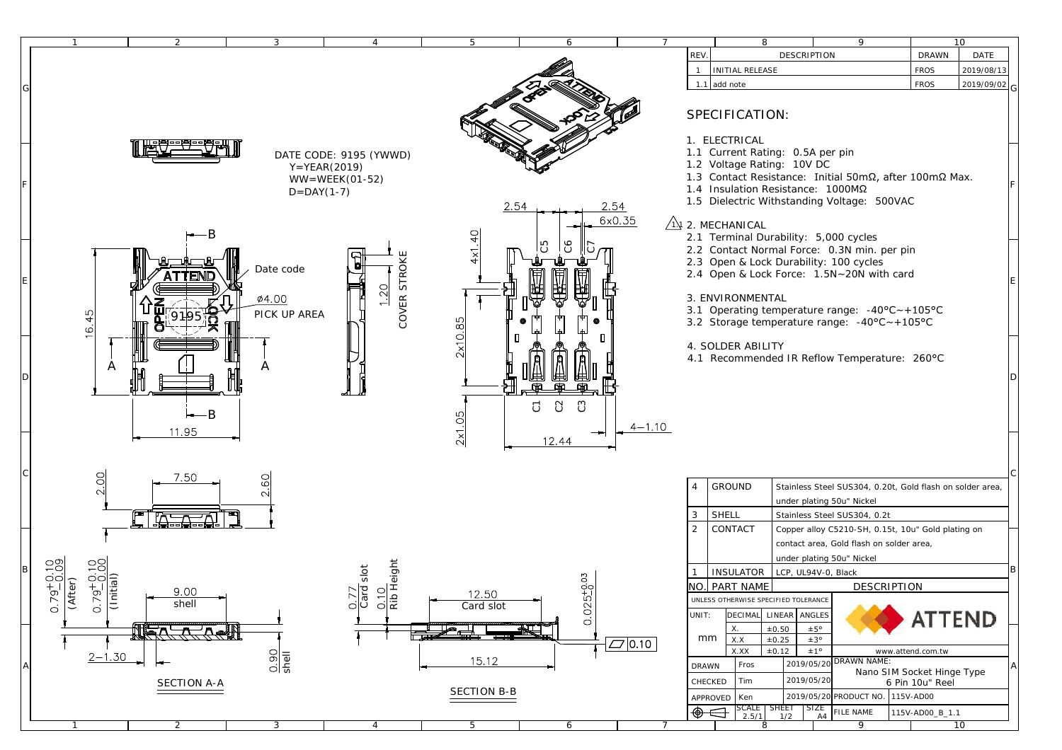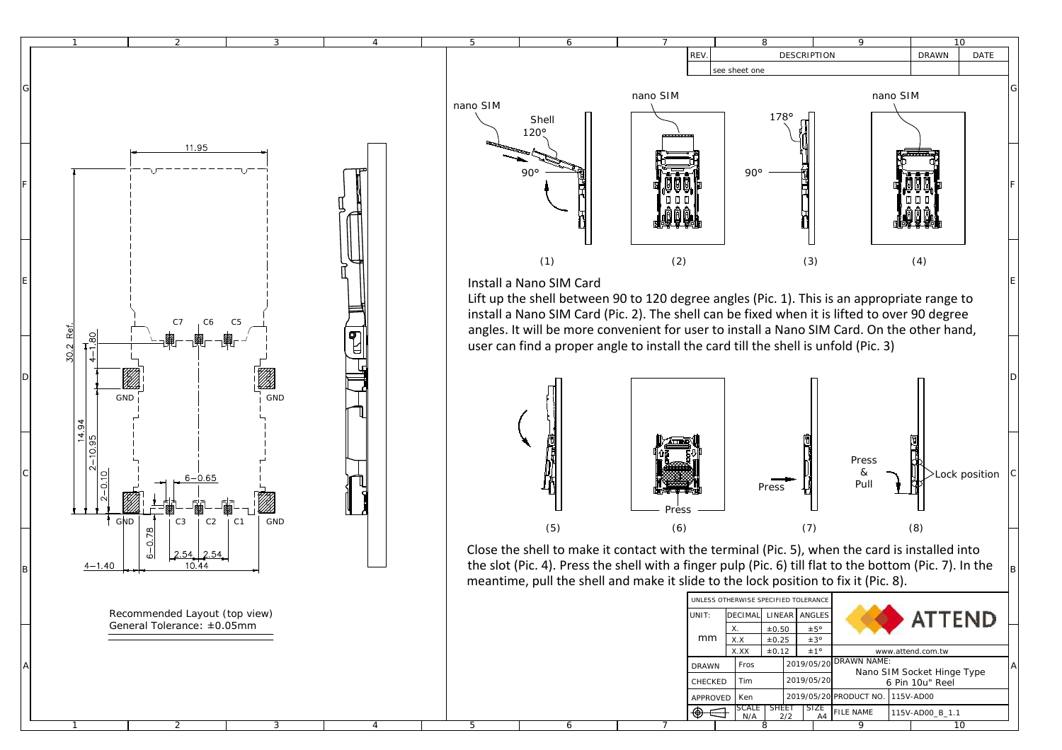